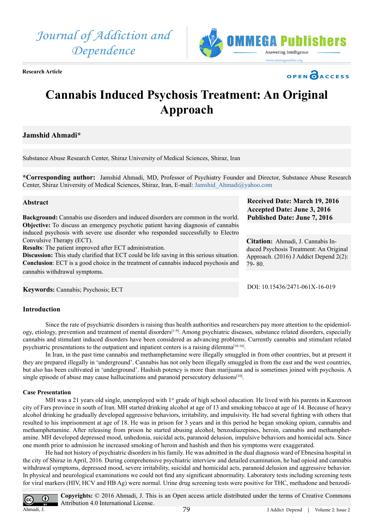*Journal of Addiction and Dependence*



**Research Article**



**Received Date: March 19, 2016 Accepted Date: June 3, 2016 Published Date: June 7, 2016**

**Citation:** Ahmadi, J. Cannabis Induced Psychosis Treatment: An Original Approach. (2016) J Addict Depend 2(2):

DOI: [10.15436/2471-061X-16-01](http://www.dx.doi.org/10.15436/2471-061X-16-019)9

79- 80.

# **Cannabis Induced Psychosis Treatment: An Original Approach**

# **Jamshid Ahmadi\***

Substance Abuse Research Center, Shiraz University of Medical Sciences, Shiraz, Iran

**\*Corresponding author:** Jamshid Ahmadi, MD, Professor of Psychiatry Founder and Director, Substance Abuse Research Center, Shiraz University of Medical Sciences, Shiraz, Iran, E-mail: [Jamshid\\_Ahmadi@yahoo.com](mailto:Jamshid_Ahmadi@yahoo.com)

#### **Abstract**

**Background:** Cannabis use disorders and induced disorders are common in the world. **Objective:** To discuss an emergency psychotic patient having diagnosis of cannabis induced psychosis with severe use disorder who responded successfully to Electro Convulsive Therapy (ECT).

**Results**: The patient improved after ECT administration.

**Discussion:** This study clarified that ECT could be life saving in this serious situation. **Conclusion**: ECT is a good choice in the treatment of cannabis induced psychosis and cannabis withdrawal symptoms.

**Keywords:** Cannabis; Psychosis; ECT

# **Introduction**

Since the rate of psychiatric disorders is raising thus health authorities and researchers pay more attention to the epidemiology, etiology, prevention and treatment of mental disorder[s\[1-9\].](#page-1-0) Among psychiatric diseases, substance related disorders, especially cannabis and stimulant induced disorders have been considered as advancing problems. Currently cannabis and stimulant related psychiatric presentations to the outpatient and inpatient centers is a raising dilemma[\[10-16\]](#page-1-1).

In Iran, in the past time cannabis and methamphetamine were illegally smuggled in from other countries, but at present it they are prepared illegally in 'underground'. Cannabis has not only been illegally smuggled in from the east and the west countries, but also has been cultivated in 'underground'. Hashish potency is more than marijuana and is sometimes joined with psychosis. A single episode of abuse may cause hallucinations and paranoid persecutory delusions<sup>[10]</sup>.

#### **Case Presentation**

MH was a 21 years old single, unemployed with  $1<sup>st</sup>$  grade of high school education. He lived with his parents in Kazeroon city of Fars province in south of Iran. MH started drinking alcohol at age of 13 and smoking tobacco at age of 14. Because of heavy alcohol drinking he gradually developed aggressive behaviors, irritability, and impulsivity. He had several fighting with others that resulted to his imprisonment at age of 18. He was in prison for 3 years and in this period he began smoking opium, cannabis and methamphetamine. After releasing from prison he started abusing alcohol, benzodiazepines, heroin, cannabis and methamphetamine. MH developed depressed mood, unhedonia, suicidal acts, paranoid delusion, impulsive behaviors and homicidal acts. Since one month prior to admission he increased smoking of heroin and hashish and then his symptoms were exaggerated.

He had not history of psychiatric disorders in his family. He was admitted in the dual diagnosis ward of Ebnesina hospital in the city of Shiraz in April, 2016. During comprehensive psychiatric interview and detailed examination, he had opioid and cannabis withdrawal symptoms, depressed mood, severe irritability, suicidal and homicidal acts, paranoid delusion and aggressive behavior. In physical and neurological examinations we could not find any significant abnormality. Laboratory tests including screening tests for viral markers (HIV, HCV and HB Ag) were normal. Urine drug screening tests were positive for THC, methadone and benzodi-

**Copyrights:** © 2016 Ahmadi, J. This is an Open access article distributed under the terms of Creative Commons  $\bf G$ Attribution 4.0 International License. Ahmadi, J.